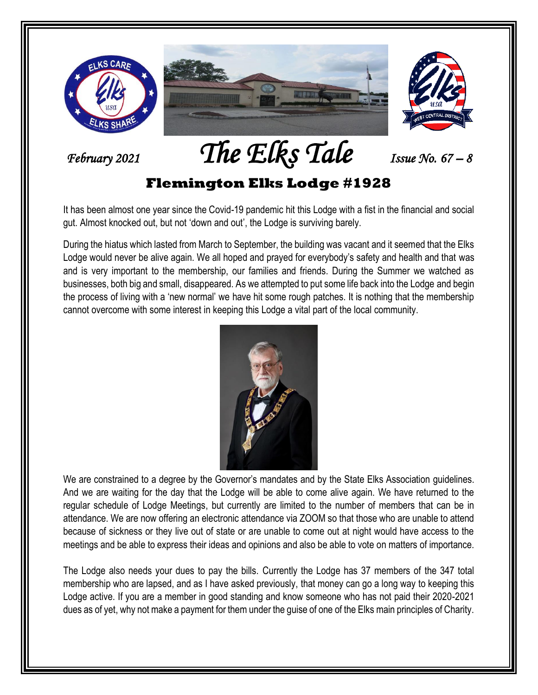

*February 2021 The Elks Tale Issue No. 67 –<sup>8</sup>*

#### **Flemington Elks Lodge #1928**

It has been almost one year since the Covid-19 pandemic hit this Lodge with a fist in the financial and social gut. Almost knocked out, but not 'down and out', the Lodge is surviving barely.

During the hiatus which lasted from March to September, the building was vacant and it seemed that the Elks Lodge would never be alive again. We all hoped and prayed for everybody's safety and health and that was and is very important to the membership, our families and friends. During the Summer we watched as businesses, both big and small, disappeared. As we attempted to put some life back into the Lodge and begin the process of living with a 'new normal' we have hit some rough patches. It is nothing that the membership cannot overcome with some interest in keeping this Lodge a vital part of the local community.



We are constrained to a degree by the Governor's mandates and by the State Elks Association guidelines. And we are waiting for the day that the Lodge will be able to come alive again. We have returned to the regular schedule of Lodge Meetings, but currently are limited to the number of members that can be in attendance. We are now offering an electronic attendance via ZOOM so that those who are unable to attend because of sickness or they live out of state or are unable to come out at night would have access to the meetings and be able to express their ideas and opinions and also be able to vote on matters of importance.

The Lodge also needs your dues to pay the bills. Currently the Lodge has 37 members of the 347 total membership who are lapsed, and as I have asked previously, that money can go a long way to keeping this Lodge active. If you are a member in good standing and know someone who has not paid their 2020-2021 dues as of yet, why not make a payment for them under the guise of one of the Elks main principles of Charity.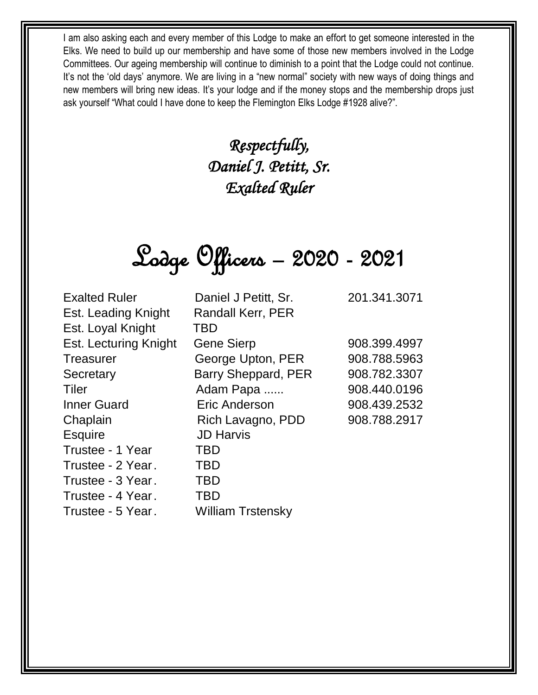I am also asking each and every member of this Lodge to make an effort to get someone interested in the Elks. We need to build up our membership and have some of those new members involved in the Lodge Committees. Our ageing membership will continue to diminish to a point that the Lodge could not continue. It's not the 'old days' anymore. We are living in a "new normal" society with new ways of doing things and new members will bring new ideas. It's your lodge and if the money stops and the membership drops just ask yourself "What could I have done to keep the Flemington Elks Lodge #1928 alive?".

> *Respectfully, Daniel J. Petitt, Sr. Exalted Ruler*



| <b>Exalted Ruler</b>  | Daniel J Petitt, Sr.       | 201.341.3071 |
|-----------------------|----------------------------|--------------|
| Est. Leading Knight   | <b>Randall Kerr, PER</b>   |              |
| Est. Loyal Knight     | TBD                        |              |
| Est. Lecturing Knight | <b>Gene Sierp</b>          | 908.399.4997 |
| <b>Treasurer</b>      | George Upton, PER          | 908.788.5963 |
| Secretary             | <b>Barry Sheppard, PER</b> | 908.782.3307 |
| Tiler                 | Adam Papa                  | 908.440.0196 |
| <b>Inner Guard</b>    | Eric Anderson              | 908.439.2532 |
| Chaplain              | Rich Lavagno, PDD          | 908.788.2917 |
| <b>Esquire</b>        | <b>JD Harvis</b>           |              |
| Trustee - 1 Year      | <b>TBD</b>                 |              |
| Trustee - 2 Year.     | <b>TBD</b>                 |              |
| Trustee - 3 Year.     | <b>TBD</b>                 |              |
| Trustee - 4 Year.     | <b>TBD</b>                 |              |
| Trustee - 5 Year.     | <b>William Trstensky</b>   |              |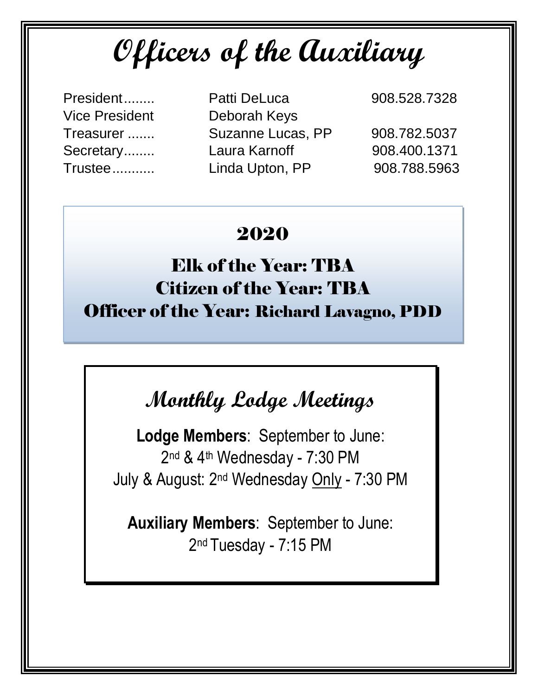**Officers of the Auxiliary**

- Vice President Deborah Keys
- President........ Patti DeLuca 908.528.7328 Treasurer ....... Suzanne Lucas, PP 908.782.5037 Secretary........ Laura Karnoff 908.400.1371 Trustee........... Linda Upton, PP 908.788.5963

#### 2020

### Elk of the Year: TBA Citizen of the Year: TBA Officer of the Year: Richard Lavagno, PDD

## **Monthly Lodge Meetings**

**Lodge Members**: September to June: 2 nd & 4th Wednesday - 7:30 PM July & August: 2nd Wednesday Only - 7:30 PM

**Auxiliary Members**: September to June: 2<sup>nd</sup> Tuesday - 7:15 PM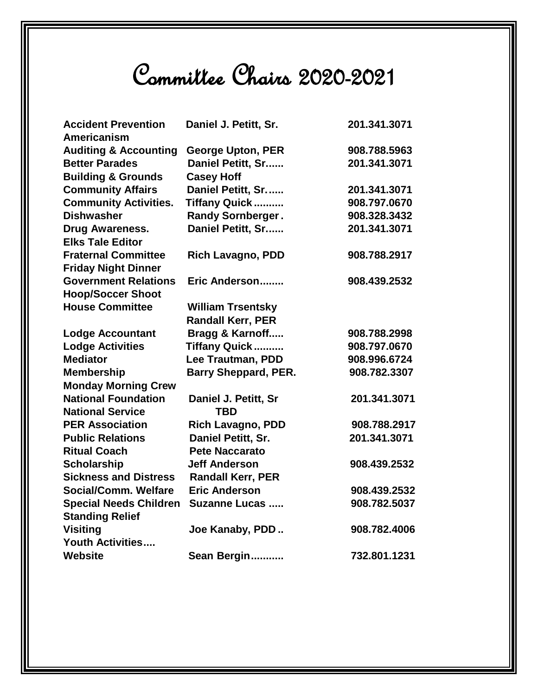# Committee Chairs 2020-2021

| <b>Accident Prevention</b><br>Americanism | Daniel J. Petitt, Sr.       | 201.341.3071 |
|-------------------------------------------|-----------------------------|--------------|
| <b>Auditing &amp; Accounting</b>          | <b>George Upton, PER</b>    | 908.788.5963 |
| <b>Better Parades</b>                     | Daniel Petitt, Sr           | 201.341.3071 |
| <b>Building &amp; Grounds</b>             | <b>Casey Hoff</b>           |              |
| <b>Community Affairs</b>                  | Daniel Petitt, Sr           | 201.341.3071 |
| <b>Community Activities.</b>              | <b>Tiffany Quick</b>        | 908.797.0670 |
| <b>Dishwasher</b>                         | <b>Randy Sornberger.</b>    | 908.328.3432 |
| Drug Awareness.                           | Daniel Petitt, Sr           | 201.341.3071 |
| <b>Elks Tale Editor</b>                   |                             |              |
| <b>Fraternal Committee</b>                | <b>Rich Lavagno, PDD</b>    | 908.788.2917 |
| <b>Friday Night Dinner</b>                |                             |              |
| <b>Government Relations</b>               | Eric Anderson               | 908.439.2532 |
| <b>Hoop/Soccer Shoot</b>                  |                             |              |
| <b>House Committee</b>                    | <b>William Trsentsky</b>    |              |
|                                           | <b>Randall Kerr, PER</b>    |              |
| <b>Lodge Accountant</b>                   | Bragg & Karnoff             | 908.788.2998 |
| <b>Lodge Activities</b>                   | <b>Tiffany Quick</b>        | 908.797.0670 |
| <b>Mediator</b>                           | Lee Trautman, PDD           | 908.996.6724 |
| <b>Membership</b>                         | <b>Barry Sheppard, PER.</b> | 908.782.3307 |
| <b>Monday Morning Crew</b>                |                             |              |
| <b>National Foundation</b>                | Daniel J. Petitt, Sr        | 201.341.3071 |
| <b>National Service</b>                   | <b>TBD</b>                  |              |
| <b>PER Association</b>                    | <b>Rich Lavagno, PDD</b>    | 908.788.2917 |
| <b>Public Relations</b>                   | Daniel Petitt, Sr.          | 201.341.3071 |
| <b>Ritual Coach</b>                       | <b>Pete Naccarato</b>       |              |
| <b>Scholarship</b>                        | <b>Jeff Anderson</b>        | 908.439.2532 |
| <b>Sickness and Distress</b>              | <b>Randall Kerr, PER</b>    |              |
| <b>Social/Comm. Welfare</b>               | <b>Eric Anderson</b>        | 908.439.2532 |
| <b>Special Needs Children</b>             | <b>Suzanne Lucas </b>       | 908.782.5037 |
| <b>Standing Relief</b>                    |                             |              |
| <b>Visiting</b>                           | Joe Kanaby, PDD             | 908.782.4006 |
| <b>Youth Activities</b>                   |                             |              |
| <b>Website</b>                            | Sean Bergin                 | 732.801.1231 |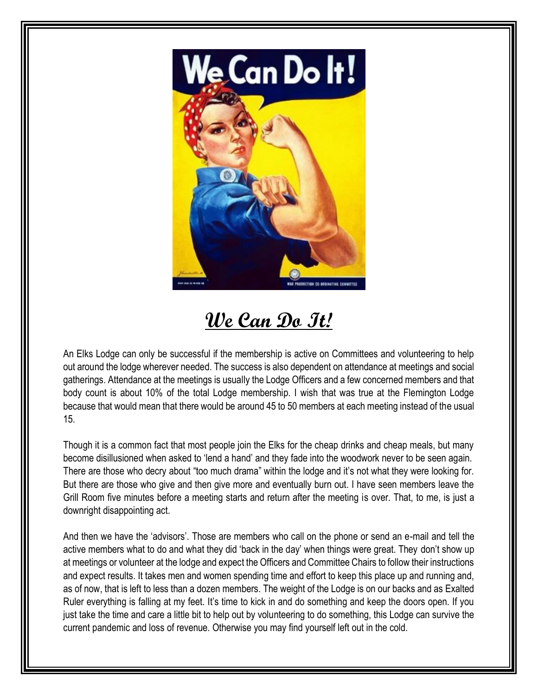

**We Can Do It!**

An Elks Lodge can only be successful if the membership is active on Committees and volunteering to help out around the lodge wherever needed. The success is also dependent on attendance at meetings and social gatherings. Attendance at the meetings is usually the Lodge Officers and a few concerned members and that body count is about 10% of the total Lodge membership. I wish that was true at the Flemington Lodge because that would mean that there would be around 45 to 50 members at each meeting instead of the usual 15.

Though it is a common fact that most people join the Elks for the cheap drinks and cheap meals, but many become disillusioned when asked to 'lend a hand' and they fade into the woodwork never to be seen again. There are those who decry about "too much drama" within the lodge and it's not what they were looking for. But there are those who give and then give more and eventually burn out. I have seen members leave the Grill Room five minutes before a meeting starts and return after the meeting is over. That, to me, is just a downright disappointing act.

And then we have the 'advisors'. Those are members who call on the phone or send an e-mail and tell the active members what to do and what they did 'back in the day' when things were great. They don't show up at meetings or volunteer at the lodge and expect the Officers and Committee Chairs to follow their instructions and expect results. It takes men and women spending time and effort to keep this place up and running and, as of now, that is left to less than a dozen members. The weight of the Lodge is on our backs and as Exalted Ruler everything is falling at my feet. It's time to kick in and do something and keep the doors open. If you just take the time and care a little bit to help out by volunteering to do something, this Lodge can survive the current pandemic and loss of revenue. Otherwise you may find yourself left out in the cold.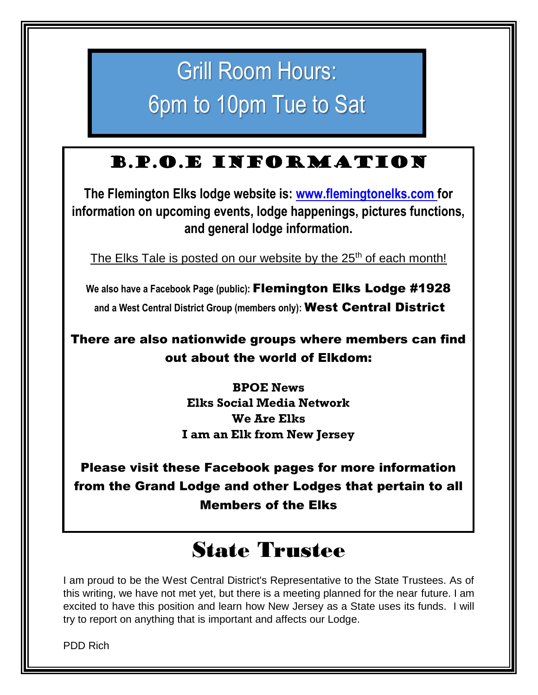# Grill Room Hours: 6pm to 10pm Tue to Sat

#### B.P.O.E Information

**The Flemington Elks lodge website is: [www.flemingtonelks.com](http://www.flemingtonelks.com/) for information on upcoming events, lodge happenings, pictures functions, and general lodge information.** 

The Elks Tale is posted on our website by the 25<sup>th</sup> of each month!

**We also have a Facebook Page (public):** Flemington Elks Lodge #1928 **and a West Central District Group (members only):** West Central District

There are also nationwide groups where members can find out about the world of Elkdom:

> **BPOE News Elks Social Media Network We Are Elks I am an Elk from New Jersey**

Please visit these Facebook pages for more information from the Grand Lodge and other Lodges that pertain to all Members of the Elks

## State Trustee

I am proud to be the West Central District's Representative to the State Trustees. As of this writing, we have not met yet, but there is a meeting planned for the near future. I am excited to have this position and learn how New Jersey as a State uses its funds. I will try to report on anything that is important and affects our Lodge.

PDD Rich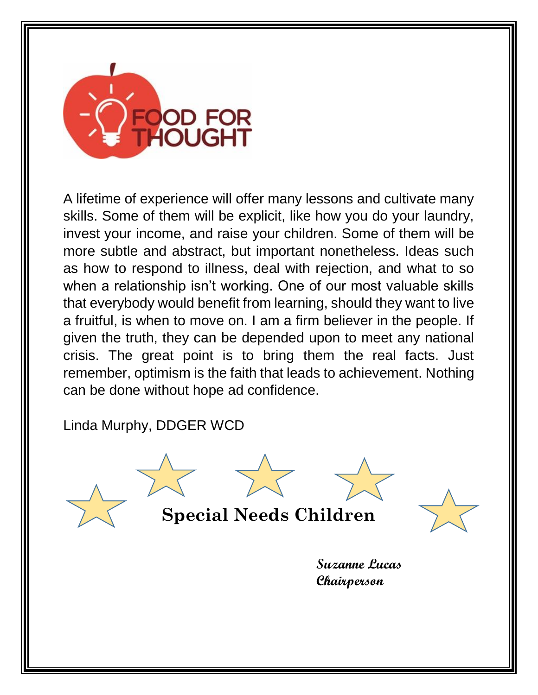

A lifetime of experience will offer many lessons and cultivate many skills. Some of them will be explicit, like how you do your laundry, invest your income, and raise your children. Some of them will be more subtle and abstract, but important nonetheless. Ideas such as how to respond to illness, deal with rejection, and what to so when a relationship isn't working. One of our most valuable skills that everybody would benefit from learning, should they want to live a fruitful, is when to move on. I am a firm believer in the people. If given the truth, they can be depended upon to meet any national crisis. The great point is to bring them the real facts. Just remember, optimism is the faith that leads to achievement. Nothing can be done without hope ad confidence.

Linda Murphy, DDGER WCD

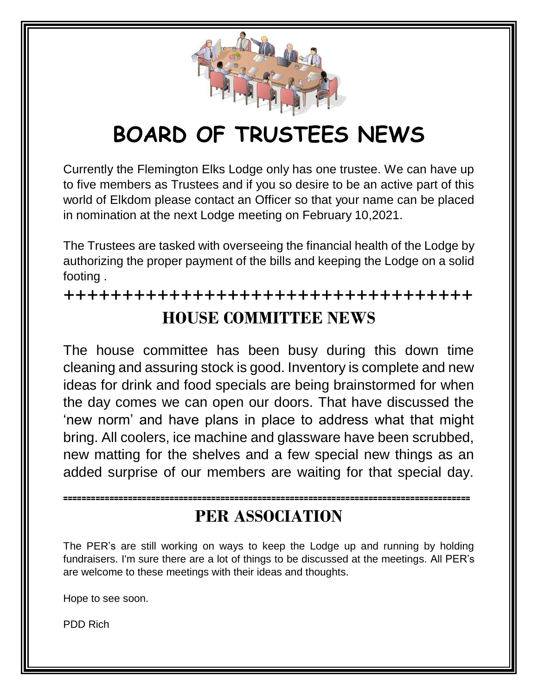

# **BOARD OF TRUSTEES NEWS**

Currently the Flemington Elks Lodge only has one trustee. We can have up to five members as Trustees and if you so desire to be an active part of this world of Elkdom please contact an Officer so that your name can be placed in nomination at the next Lodge meeting on February 10,2021.

The Trustees are tasked with overseeing the financial health of the Lodge by authorizing the proper payment of the bills and keeping the Lodge on a solid footing .

**+++++++++++++++++++++++++++++++++++ HOUSE COMMITTEE NEWS**

The house committee has been busy during this down time cleaning and assuring stock is good. Inventory is complete and new ideas for drink and food specials are being brainstormed for when the day comes we can open our doors. That have discussed the 'new norm' and have plans in place to address what that might bring. All coolers, ice machine and glassware have been scrubbed, new matting for the shelves and a few special new things as an added surprise of our members are waiting for that special day.

#### **PER ASSOCIATION**

**========================================================================================**

The PER's are still working on ways to keep the Lodge up and running by holding fundraisers. I'm sure there are a lot of things to be discussed at the meetings. All PER's are welcome to these meetings with their ideas and thoughts.

Hope to see soon.

PDD Rich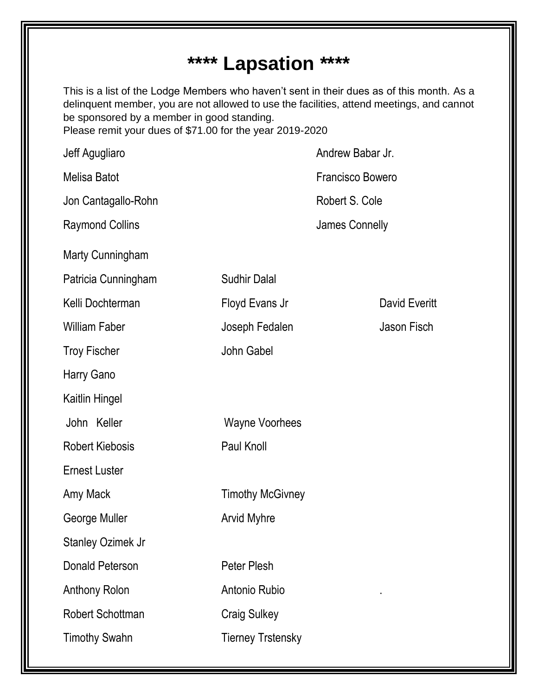### **\*\*\*\* Lapsation \*\*\*\***

This is a list of the Lodge Members who haven't sent in their dues as of this month. As a delinquent member, you are not allowed to use the facilities, attend meetings, and cannot be sponsored by a member in good standing. Please remit your dues of \$71.00 for the year 2019-2020

Jeff Agugliaro **Andrew Babar Jr.** Andrew Babar Jr. Melisa Batot Francisco Bowero Jon Cantagallo-Rohn **Robert S. Cole** Robert S. Cole Raymond Collins **Colling Connelly** James Connelly Marty Cunningham Patricia Cunningham Sudhir Dalal Kelli Dochterman Floyd Evans Jr David Everitt William Faber **Graduate Hart Constructs** Joseph Fedalen **Jason Fisch** Troy Fischer **John Gabel** Harry Gano Kaitlin Hingel John Keller Wayne Voorhees Robert Kiebosis Paul Knoll Ernest Luster Amy Mack Timothy McGivney George Muller **Arvid Myhre** Stanley Ozimek Jr Donald Peterson **Peter Plesh** Anthony Rolon Antonio Rubio . Robert Schottman Craig Sulkey Timothy Swahn Tierney Trstensky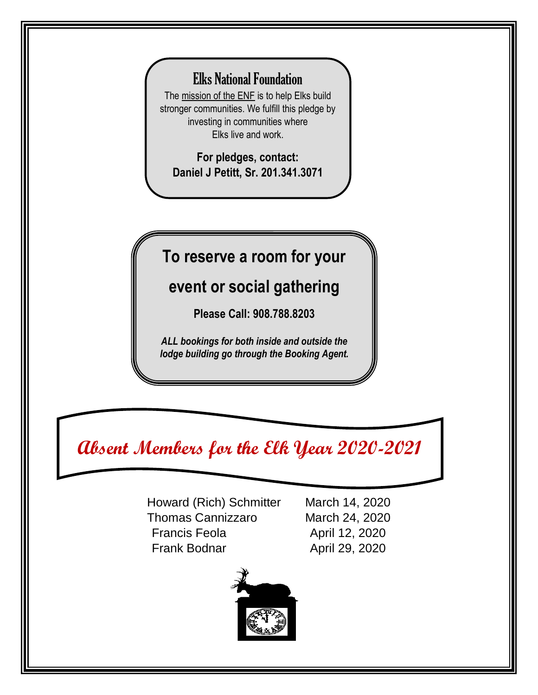#### Elks National Foundation

Ĵ The [mission of the ENF](https://www.elks.org/enf/mission.cfm) is to help Elks build stronger communities. We fulfill this pledge by investing in communities where Elks live and work.

**For pledges, contact: Daniel J Petitt, Sr. 201.341.3071**

#### **To reserve a room for your**

#### **event or social gathering**

**Please Call: 908.788.8203**

*ALL bookings for both inside and outside the lodge building go through the Booking Agent.*

### **Absent Members for the Elk Year 2020-2021**

Howard (Rich) Schmitter March 14, 2020 Thomas Cannizzaro March 24, 2020 Francis Feola **April 12, 2020** Frank Bodnar **April 29, 2020** 

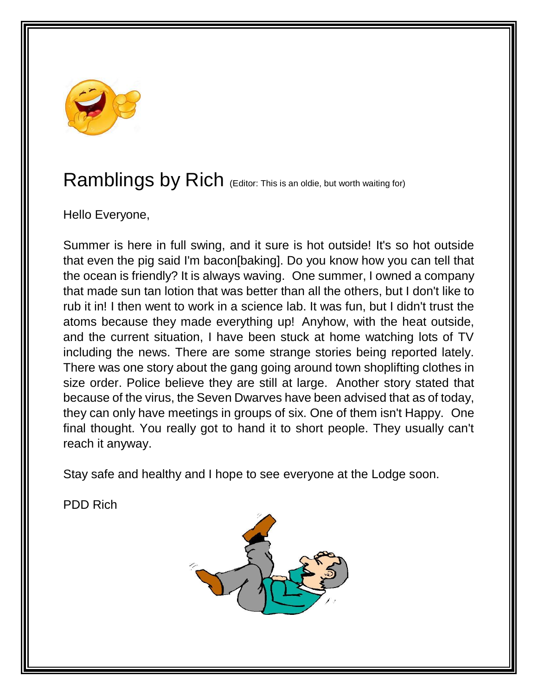

### Ramblings by Rich (Editor: This is an oldie, but worth waiting for)

Hello Everyone,

Summer is here in full swing, and it sure is hot outside! It's so hot outside that even the pig said I'm bacon[baking]. Do you know how you can tell that the ocean is friendly? It is always waving. One summer, I owned a company that made sun tan lotion that was better than all the others, but I don't like to rub it in! I then went to work in a science lab. It was fun, but I didn't trust the atoms because they made everything up! Anyhow, with the heat outside, and the current situation, I have been stuck at home watching lots of TV including the news. There are some strange stories being reported lately. There was one story about the gang going around town shoplifting clothes in size order. Police believe they are still at large. Another story stated that because of the virus, the Seven Dwarves have been advised that as of today, they can only have meetings in groups of six. One of them isn't Happy. One final thought. You really got to hand it to short people. They usually can't reach it anyway.

Stay safe and healthy and I hope to see everyone at the Lodge soon.

PDD Rich

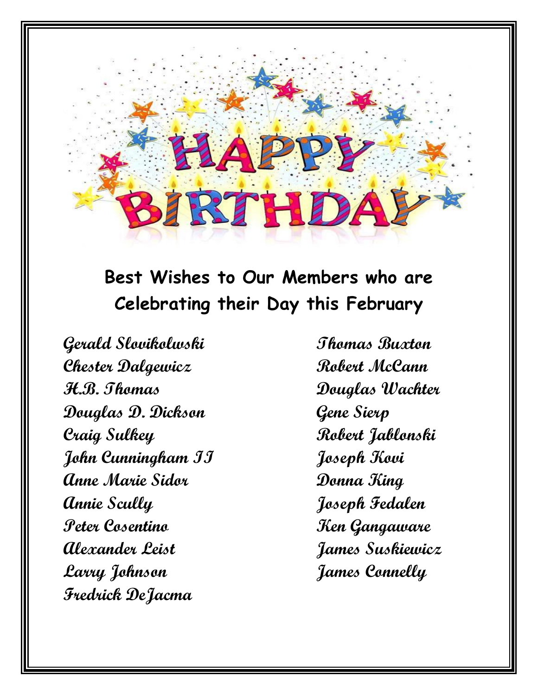## **Best Wishes to Our Members who are Celebrating their Day this February**

BIRTHDA

**Gerald Slovikolwski Thomas Buxton Chester Dalgewicz Robert McCann H.B. Thomas Douglas Wachter Douglas D. Dickson Gene Sierp Craig Sulkey Robert Jablonski John Cunningham II Joseph Kovi Anne Marie Sidor Donna King Annie Scully Joseph Fedalen Peter Cosentino Ken Gangaware Alexander Leist James Suskiewicz Larry Johnson James Connelly Fredrick DeJacma**